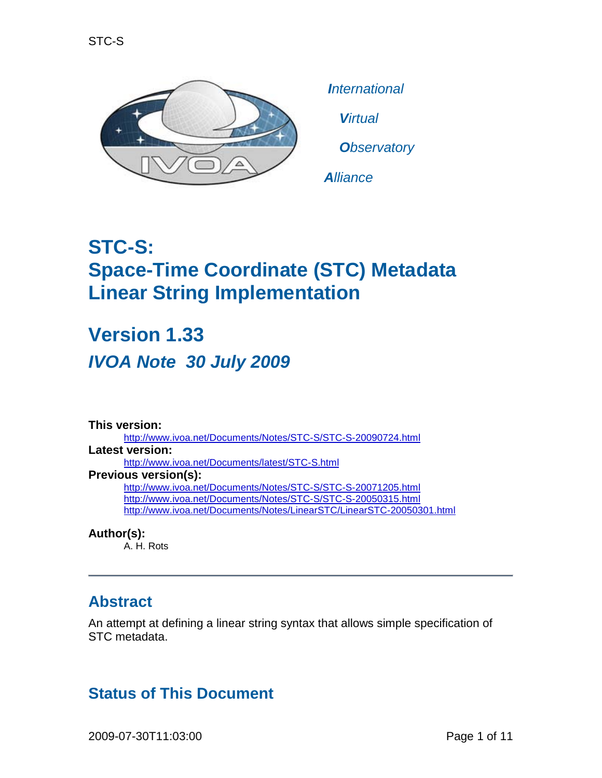

*International Virtual*

*Observatory*

*Alliance*

# **STC-S: Space-Time Coordinate (STC) Metadata Linear String Implementation**

**Version 1.33** *IVOA Note 30 July 2009*

**This version:** <http://www.ivoa.net/Documents/Notes/STC-S/STC-S-20090724.html> **Latest version:** <http://www.ivoa.net/Documents/latest/STC-S.html> **Previous version(s):** <http://www.ivoa.net/Documents/Notes/STC-S/STC-S-20071205.html> <http://www.ivoa.net/Documents/Notes/STC-S/STC-S-20050315.html> <http://www.ivoa.net/Documents/Notes/LinearSTC/LinearSTC-20050301.html>

**Author(s):** A. H. Rots

#### **Abstract**

An attempt at defining a linear string syntax that allows simple specification of STC metadata.

## **Status of This Document**

2009-07-30T11:03:00 Page 1 of 11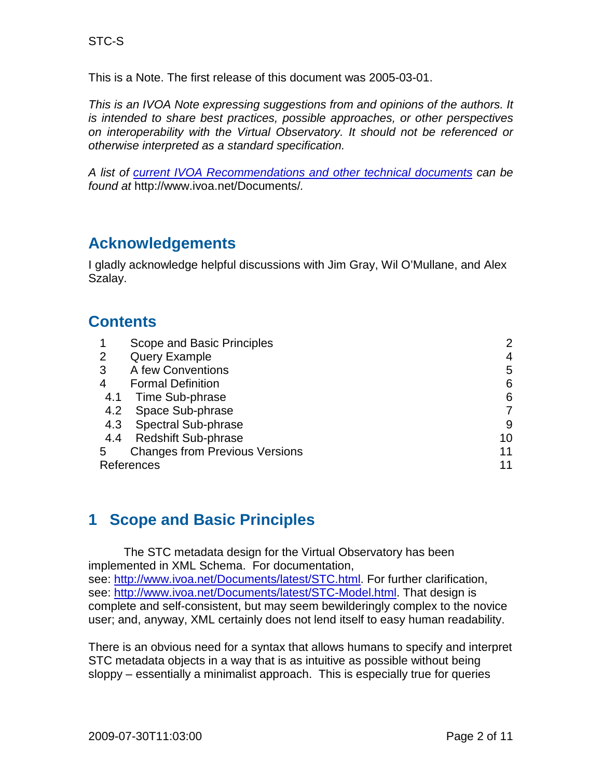This is a Note. The first release of this document was 2005-03-01.

*This is an IVOA Note expressing suggestions from and opinions of the authors. It is intended to share best practices, possible approaches, or other perspectives on interoperability with the Virtual Observatory. It should not be referenced or otherwise interpreted as a standard specification.*

*A list of [current IVOA Recommendations and other technical documents](http://www.ivoa.net/Documents/) can be found at* http://www.ivoa.net/Documents/*.*

#### **Acknowledgements**

I gladly acknowledge helpful discussions with Jim Gray, Wil O'Mullane, and Alex Szalay.

#### **Contents**

| $\mathbf 1$    | Scope and Basic Principles            |    |
|----------------|---------------------------------------|----|
| $\overline{2}$ | <b>Query Example</b>                  | 4  |
| 3              | A few Conventions                     | 5  |
| 4              | <b>Formal Definition</b>              | 6  |
| 4.1            | Time Sub-phrase                       | 6  |
| 4.2            | Space Sub-phrase                      |    |
|                | 4.3 Spectral Sub-phrase               | 9  |
| 4.4            | <b>Redshift Sub-phrase</b>            | 10 |
| 5              | <b>Changes from Previous Versions</b> | 11 |
| References     | 11                                    |    |

#### <span id="page-1-0"></span>**1 Scope and Basic Principles**

The STC metadata design for the Virtual Observatory has been implemented in XML Schema. For documentation, see:<http://www.ivoa.net/Documents/latest/STC.html>[. F](http://hea-www.harvard.edu/~arots/nvometa)or further clarification, see: [http://www.ivoa.net/Documents/latest/STC-Model.html.](http://www.ivoa.net/Documents/latest/STC-Model.html) That design is complete and self-consistent, but may seem bewilderingly complex to the novice user; and, anyway, XML certainly does not lend itself to easy human readability.

There is an obvious need for a syntax that allows humans to specify and interpret STC metadata objects in a way that is as intuitive as possible without being sloppy – essentially a minimalist approach. This is especially true for queries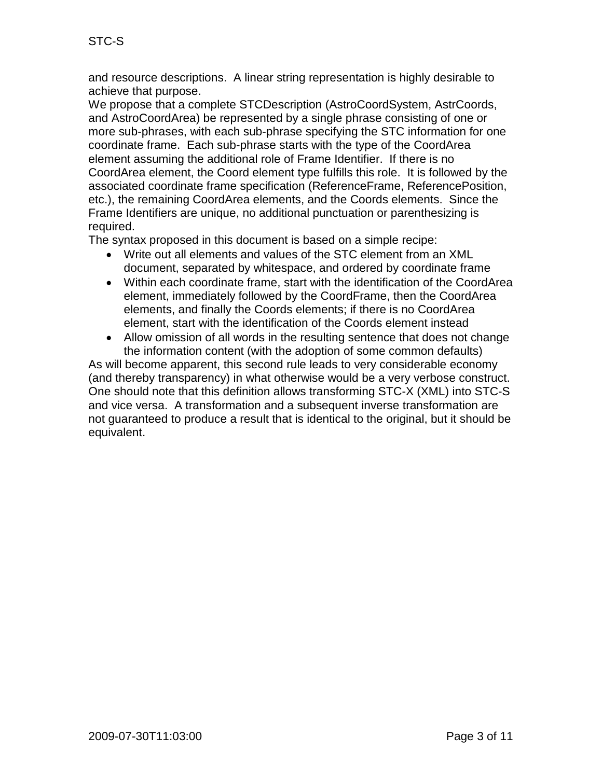and resource descriptions. A linear string representation is highly desirable to achieve that purpose.

We propose that a complete STCDescription (AstroCoordSystem, AstrCoords, and AstroCoordArea) be represented by a single phrase consisting of one or more sub-phrases, with each sub-phrase specifying the STC information for one coordinate frame. Each sub-phrase starts with the type of the CoordArea element assuming the additional role of Frame Identifier. If there is no CoordArea element, the Coord element type fulfills this role. It is followed by the associated coordinate frame specification (ReferenceFrame, ReferencePosition, etc.), the remaining CoordArea elements, and the Coords elements. Since the Frame Identifiers are unique, no additional punctuation or parenthesizing is required.

The syntax proposed in this document is based on a simple recipe:

- Write out all elements and values of the STC element from an XML document, separated by whitespace, and ordered by coordinate frame
- Within each coordinate frame, start with the identification of the CoordArea element, immediately followed by the CoordFrame, then the CoordArea elements, and finally the Coords elements; if there is no CoordArea element, start with the identification of the Coords element instead
- Allow omission of all words in the resulting sentence that does not change the information content (with the adoption of some common defaults)

As will become apparent, this second rule leads to very considerable economy (and thereby transparency) in what otherwise would be a very verbose construct. One should note that this definition allows transforming STC-X (XML) into STC-S and vice versa. A transformation and a subsequent inverse transformation are not guaranteed to produce a result that is identical to the original, but it should be equivalent.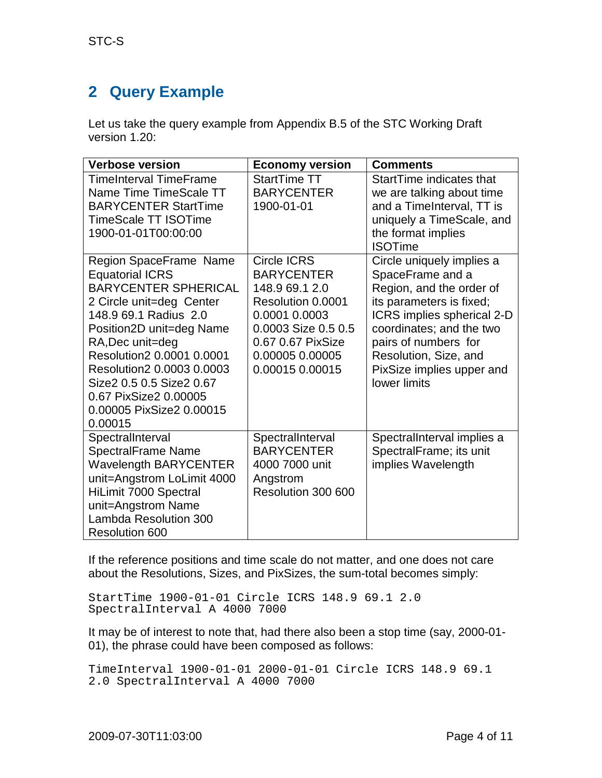# <span id="page-3-0"></span>**2 Query Example**

Let us take the query example from Appendix B.5 of the STC Working Draft version 1.20:

| <b>Verbose version</b>                                                                                                                                                                                                                                                                                                                                                                                                                                                         | <b>Economy version</b>                                                                                                                                                                                                               | <b>Comments</b>                                                                                                                                                                                                                                                                                                                                                                                                          |
|--------------------------------------------------------------------------------------------------------------------------------------------------------------------------------------------------------------------------------------------------------------------------------------------------------------------------------------------------------------------------------------------------------------------------------------------------------------------------------|--------------------------------------------------------------------------------------------------------------------------------------------------------------------------------------------------------------------------------------|--------------------------------------------------------------------------------------------------------------------------------------------------------------------------------------------------------------------------------------------------------------------------------------------------------------------------------------------------------------------------------------------------------------------------|
| <b>TimeInterval TimeFrame</b><br>Name Time TimeScale TT<br><b>BARYCENTER StartTime</b><br><b>TimeScale TT ISOTime</b><br>1900-01-01T00:00:00<br>Region SpaceFrame Name<br><b>Equatorial ICRS</b><br><b>BARYCENTER SPHERICAL</b><br>2 Circle unit=deg Center<br>148.9 69.1 Radius 2.0<br>Position2D unit=deg Name<br>RA, Dec unit=deg<br>Resolution2 0.0001 0.0001<br>Resolution 20.00030.0003<br>Size2 0.5 0.5 Size2 0.67<br>0.67 PixSize2 0.00005<br>0.00005 PixSize2 0.00015 | StartTime TT<br><b>BARYCENTER</b><br>1900-01-01<br><b>Circle ICRS</b><br><b>BARYCENTER</b><br>148.9 69.1 2.0<br>Resolution 0.0001<br>0.0001 0.0003<br>0.0003 Size 0.5 0.5<br>0.67 0.67 PixSize<br>0.00005 0.00005<br>0.00015 0.00015 | StartTime indicates that<br>we are talking about time<br>and a TimeInterval, TT is<br>uniquely a TimeScale, and<br>the format implies<br><b>ISOTime</b><br>Circle uniquely implies a<br>SpaceFrame and a<br>Region, and the order of<br>its parameters is fixed;<br>ICRS implies spherical 2-D<br>coordinates; and the two<br>pairs of numbers for<br>Resolution, Size, and<br>PixSize implies upper and<br>lower limits |
| 0.00015                                                                                                                                                                                                                                                                                                                                                                                                                                                                        |                                                                                                                                                                                                                                      |                                                                                                                                                                                                                                                                                                                                                                                                                          |
| SpectralInterval<br><b>SpectralFrame Name</b><br><b>Wavelength BARYCENTER</b><br>unit=Angstrom LoLimit 4000<br>HiLimit 7000 Spectral<br>unit=Angstrom Name<br>Lambda Resolution 300<br><b>Resolution 600</b>                                                                                                                                                                                                                                                                   | SpectralInterval<br><b>BARYCENTER</b><br>4000 7000 unit<br>Angstrom<br>Resolution 300 600                                                                                                                                            | SpectralInterval implies a<br>SpectralFrame; its unit<br>implies Wavelength                                                                                                                                                                                                                                                                                                                                              |

If the reference positions and time scale do not matter, and one does not care about the Resolutions, Sizes, and PixSizes, the sum-total becomes simply:

StartTime 1900-01-01 Circle ICRS 148.9 69.1 2.0 SpectralInterval A 4000 7000

It may be of interest to note that, had there also been a stop time (say, 2000-01- 01), the phrase could have been composed as follows:

```
TimeInterval 1900-01-01 2000-01-01 Circle ICRS 148.9 69.1 
2.0 SpectralInterval A 4000 7000
```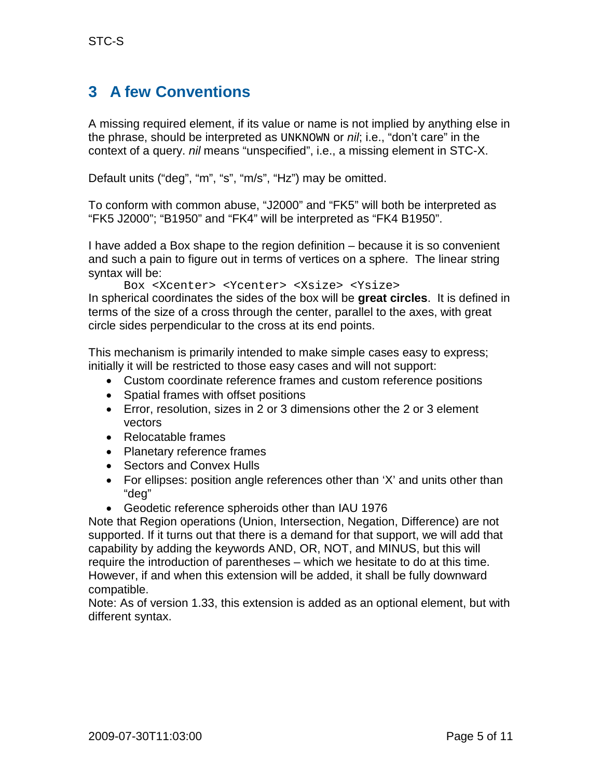## **3 A few Conventions**

A missing required element, if its value or name is not implied by anything else in the phrase, should be interpreted as UNKNOWN or *nil*; i.e., "don't care" in the context of a query. *nil* means "unspecified", i.e., a missing element in STC-X.

Default units ("deg", "m", "s", "m/s", "Hz") may be omitted.

To conform with common abuse, "J2000" and "FK5" will both be interpreted as "FK5 J2000"; "B1950" and "FK4" will be interpreted as "FK4 B1950".

I have added a Box shape to the region definition – because it is so convenient and such a pain to figure out in terms of vertices on a sphere. The linear string syntax will be:

Box <Xcenter> <Ycenter> <Xsize> <Ysize>

In spherical coordinates the sides of the box will be **great circles**. It is defined in terms of the size of a cross through the center, parallel to the axes, with great circle sides perpendicular to the cross at its end points.

This mechanism is primarily intended to make simple cases easy to express; initially it will be restricted to those easy cases and will not support:

- Custom coordinate reference frames and custom reference positions
- Spatial frames with offset positions
- Error, resolution, sizes in 2 or 3 dimensions other the 2 or 3 element vectors
- Relocatable frames
- Planetary reference frames
- Sectors and Convex Hulls
- For ellipses: position angle references other than 'X' and units other than "deg"
- Geodetic reference spheroids other than IAU 1976

Note that Region operations (Union, Intersection, Negation, Difference) are not supported. If it turns out that there is a demand for that support, we will add that capability by adding the keywords AND, OR, NOT, and MINUS, but this will require the introduction of parentheses – which we hesitate to do at this time. However, if and when this extension will be added, it shall be fully downward compatible.

Note: As of version 1.33, this extension is added as an optional element, but with different syntax.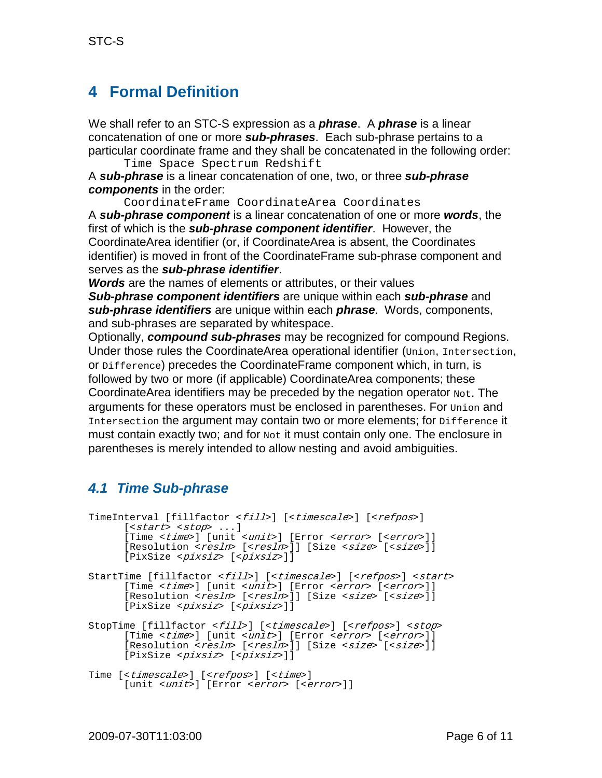### <span id="page-5-0"></span>**4 Formal Definition**

We shall refer to an STC-S expression as a *phrase*. A *phrase* is a linear concatenation of one or more *sub-phrases*. Each sub-phrase pertains to a particular coordinate frame and they shall be concatenated in the following order: Time Space Spectrum Redshift

A *sub-phrase* is a linear concatenation of one, two, or three *sub-phrase components* in the order:

CoordinateFrame CoordinateArea Coordinates A *sub-phrase component* is a linear concatenation of one or more *words*, the first of which is the *sub-phrase component identifier*. However, the CoordinateArea identifier (or, if CoordinateArea is absent, the Coordinates identifier) is moved in front of the CoordinateFrame sub-phrase component and serves as the *sub-phrase identifier*.

*Words* are the names of elements or attributes, or their values

*Sub-phrase component identifiers* are unique within each *sub-phrase* and *sub-phrase identifiers* are unique within each *phrase*. Words, components, and sub-phrases are separated by whitespace.

Optionally, *compound sub-phrases* may be recognized for compound Regions. Under those rules the CoordinateArea operational identifier (Union, Intersection, or Difference) precedes the CoordinateFrame component which, in turn, is followed by two or more (if applicable) CoordinateArea components; these CoordinateArea identifiers may be preceded by the negation operator  $_{\text{Not}}$ . The arguments for these operators must be enclosed in parentheses. For  $\text{Union}$  and Intersection the argument may contain two or more elements; for Difference it must contain exactly two; and for  $\text{Not } x \text{ to } x$  it must contain only one. The enclosure in parentheses is merely intended to allow nesting and avoid ambiguities.

#### <span id="page-5-1"></span>*4.1 Time Sub-phrase*

```
TimeInterval [fillfactor <fill>] [<timescale>] [<refpos>]
     [<start> <stop> ...] 
      [Time <time>] [unit <unit>] [Error <error> [<error>]]
     [Resolution <resln> [<resln>]] [Size <size> [<size>]]
     [PixSize <pixsiz> [<pixsiz>]]
StartTime [fillfactor <fill>] [<timescale>] [<refpos>] <start>
      [Time <time>] [unit <unit>] [Error <error> [<error>]] 
      [Resolution <resln> [<resln>]] [Size <size> [<size>]]
      [PixSize <pixsiz> [<pixsiz>]]
StopTime [fillfactor <fill>] [<timescale>] [<refpos>] <stop>
      [Time <time>] [unit <unit>] [Error <error> [<error>]]
      [Resolution <resln> [<resln>]] [Size <size> [<size>]]
      [PixSize <pixsiz> [<pixsiz>]]
```
Time [<timescale>] [<refpos>] [<time>] [unit <unit>] [Error <error> [<error>]]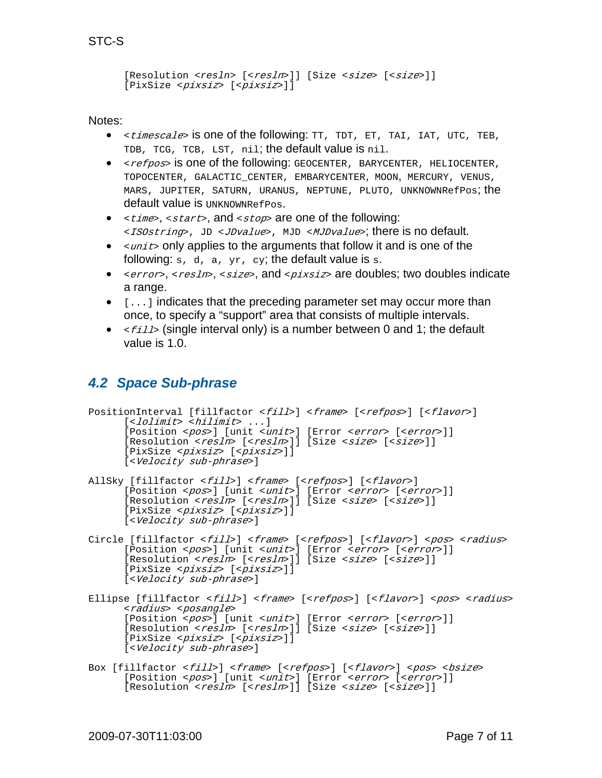```
[Resolution <resln> [<resln>]] [Size <size> [<size>]]
[PixSize <pixsiz> [<pixsiz>]]
```
Notes:

- *<timescale*> is one of the following: TT, TDT, ET, TAI, IAT, UTC, TEB, TDB, TCG, TCB, LST, nil; the default value is nil.
- <*refpos*> is one of the following: GEOCENTER, BARYCENTER, HELIOCENTER, TOPOCENTER, GALACTIC\_CENTER, EMBARYCENTER, MOON, MERCURY, VENUS, MARS, JUPITER, SATURN, URANUS, NEPTUNE, PLUTO, UNKNOWNRefPos; the default value is UNKNOWNRefPos.
- $\leq t \text{ times}, \leq st$  and  $\leq st$  are one of the following: <*ISOstring*>, JD <*JDvalue*>, MJD <*MJDvalue*>; there is no default.
- $\bullet$   $\leq$   $units$  only applies to the arguments that follow it and is one of the following:  $s, d, a, yr, cy$ ; the default value is  $s$ .
- <error>, <resln>, <size>, and <pixsiz> are doubles; two doubles indicate a range.
- $\bullet$   $\lbrack$ ...] indicates that the preceding parameter set may occur more than once, to specify a "support" area that consists of multiple intervals.
- $\langle$   $\epsilon$   $\epsilon$   $\epsilon$   $\mu$  is ingle interval only) is a number between 0 and 1; the default value is 1.0.

#### <span id="page-6-0"></span>*4.2 Space Sub-phrase*

```
PositionInterval [fillfactor <fill>] <frame> [<refpos>] [<flavor>]
      [<1olimit> <hilimit> ...]
      [Position <pos>] [unit <unit>] [Error <error> [<error>]]
      [Resolution <resln> [<resln>]] [Size <size> [<size>]]
      [PixSize <pixsiz> [<pixsiz>]]
      [<Velocity sub-phrase>]
AllSky [fillfactor <fill>] <frame> [<refpos>] [<flavor>]
      [Position <pos>] [unit <unit>] [Error <error> [<error>]]
      [Resolution <resln> [<resln>]] [Size <size> [<size>]]
      [PixSize <pixsiz> [<pixsiz>]]
      [<Velocity sub-phrase>]
Circle [fillfactor <fill>] <frame> [<refpos>] [<flavor>] <pos> <radius>
      [Position <pos>] [unit <unit>] [Error <error> [<error>]]
      [Resolution < rcsln > [sresln >]] [Size < ssize > [ssize >]]
      [PixSize <pixsiz> [<pixsiz>]]
      [<Velocity sub-phrase>]
Ellipse [fillfactor <fill>] <frame> [<refpos>] [<flavor>] <pos> <radius>
      <radius> <posangle>
      [Position <pos>] [unit <unit>] [Error <error> [<error>]]
      [Resolution <resln> [<resln>]] [Size <size> [<size>]]
      [PixSize <pixsiz> [<pixsiz>]]
      [<Velocity sub-phrase>]
Box [fillfactor <fill>] <frame> [<refpos>] [<flavor>] <pos> <bsize> [Position <pos>] [unit <unit>] [Error <error> [<error>]]
      [Resolution <resln> [<resln>]] [Size <size> [<size>]]
```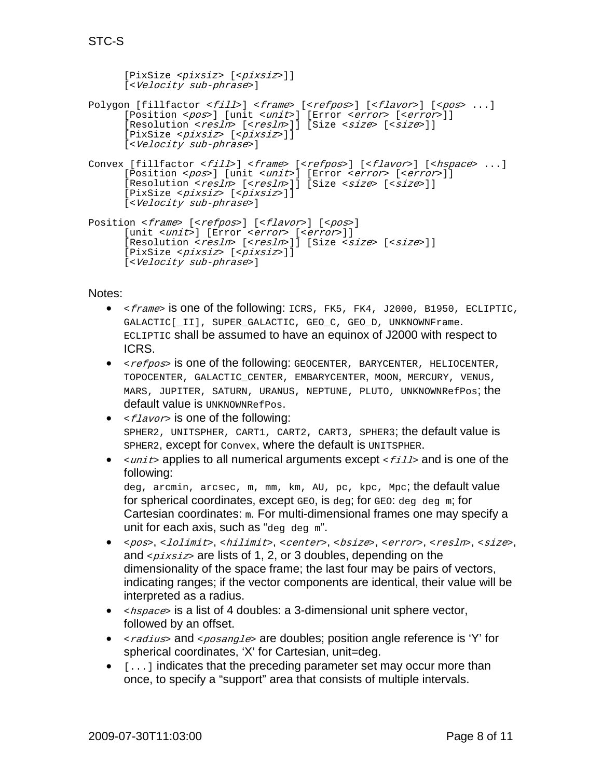[PixSize <*pixsiz*> [<pixsiz>]] [<Velocity sub-phrase>] Polygon [fillfactor <fill>] <frame> [<refpos>] [<flavor>] [<pos> ...] [Position <pos>] [unit <unit>] [Error <error> [<error>]]

```
[Resolution <resln> [<resln>]] [Size <size> [<size>]]
      [PixSize <pixsiz> [<pixsiz>]]
      [<Velocity sub-phrase>]
Convex [fillfactor <fill>] <frame> [<refpos>] [<flavor>] [<hspace> ...]
      [Position <pos>] [unit <unit>] [Error <error> [<error>]]
      [Resolution <resln> [<resln>]] [Size <size> [<size>]]
      [PixSize <pixsiz> [<pixsiz>]]
     [<Velocity sub-phrase>]
```

```
Position <frame> [<refpos>] [<flavor>] [<pos>]
      [unit <unit>] [Error <error> [<error>]]
      [Resolution <resln> [<resln>]] [Size <size> [<size>]]
     [PixSize <pixsiz> [<pixsiz>]]
     [<Velocity sub-phrase>]
```
Notes:

- $\epsilon$ *frame*> is one of the following: ICRS, FK5, FK4, J2000, B1950, ECLIPTIC, GALACTIC[\_II], SUPER\_GALACTIC, GEO\_C, GEO\_D, UNKNOWNFrame. ECLIPTIC shall be assumed to have an equinox of J2000 with respect to ICRS.
- <*refpos*> is one of the following: GEOCENTER, BARYCENTER, HELIOCENTER, TOPOCENTER, GALACTIC\_CENTER, EMBARYCENTER, MOON, MERCURY, VENUS, MARS, JUPITER, SATURN, URANUS, NEPTUNE, PLUTO, UNKNOWNRefPos; the default value is UNKNOWNRefPos.
- $\leq$   $\leq$   $1$   $\leq$   $\leq$   $\leq$   $\leq$   $\leq$   $\leq$   $\leq$   $\leq$   $\leq$   $\leq$   $\leq$   $\leq$   $\leq$   $\leq$   $\leq$   $\leq$   $\leq$   $\leq$   $\leq$   $\leq$   $\leq$   $\leq$   $\leq$   $\leq$   $\leq$   $\leq$   $\leq$   $\leq$   $\leq$   $\leq$   $\leq$   $\leq$   $\leq$   $\leq$ SPHER2, UNITSPHER, CART1, CART2, CART3, SPHER3; the default value is SPHER2, except for Convex, where the default is UNITSPHER.
- $\langle \text{unit}\rangle$  applies to all numerical arguments except  $\langle \text{fill}\rangle$  and is one of the following:

deg, arcmin, arcsec, m, mm, km, AU, pc, kpc, Mpc; the default value for spherical coordinates, except  $GED$ , is deg; for  $GED$ : deg deg m; for Cartesian coordinates: m. For multi-dimensional frames one may specify a unit for each axis, such as "deg deg  $m$ ".

- <pos>, <lolimit>, <hilimit>, <center>, <br/> <br/> <br/> <br/> <br/> <resln>, <size>, and  $\langle \text{p} \rangle$  issumed is a set of 1, 2, or 3 doubles, depending on the dimensionality of the space frame; the last four may be pairs of vectors, indicating ranges; if the vector components are identical, their value will be interpreted as a radius.
- $\langle$   $\rangle$   $\langle$   $\rangle$   $\rangle$  and ist of 4 doubles: a 3-dimensional unit sphere vector, followed by an offset.
- $\leq$   $\leq$   $\leq$   $\leq$   $\leq$   $\leq$   $\leq$   $\leq$   $\leq$   $\leq$   $\leq$   $\leq$   $\leq$   $\leq$   $\leq$   $\leq$   $\leq$   $\leq$   $\leq$   $\leq$   $\leq$   $\leq$   $\leq$   $\leq$   $\leq$   $\leq$   $\leq$   $\leq$   $\leq$   $\leq$   $\leq$   $\leq$   $\leq$   $\leq$   $\leq$   $\leq$   $\le$ spherical coordinates, 'X' for Cartesian, unit=deg.
- $\bullet$   $\left[ \ldots \right]$  indicates that the preceding parameter set may occur more than once, to specify a "support" area that consists of multiple intervals.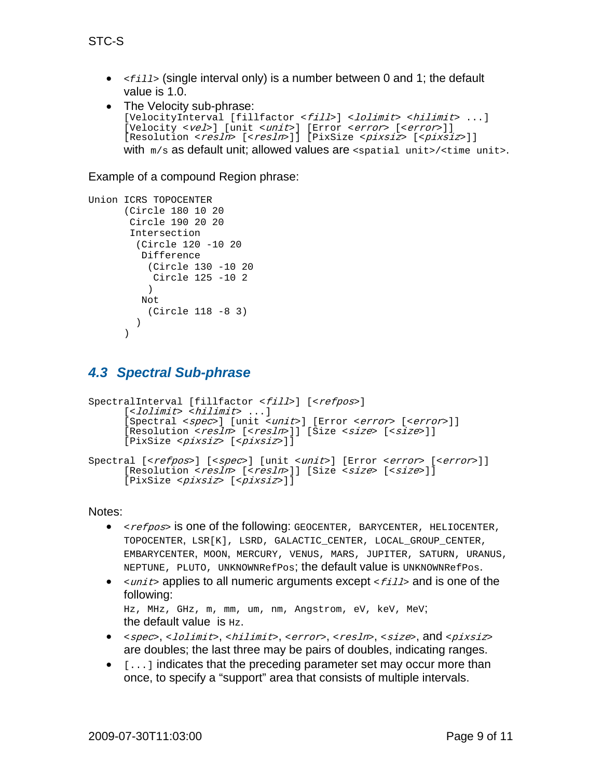•  $\langle$   $\epsilon$ *fill* > (single interval only) is a number between 0 and 1; the default value is 1.0.

```
• The Velocity sub-phrase:
   [VelocityInterval [fillfactor <fill>] <lolimit> <hilimit> ...]
   [Velocity <vel>] [unit <unit>] [Error <error> [<error>]]
   [Resolution <resln> [<resln>]] [PixSize <pixsiz> [<pixsiz>]]
  with m/s as default unit; allowed values are <spatial unit>/<time unit>.
```
Example of a compound Region phrase:

```
Union ICRS TOPOCENTER
      (Circle 180 10 20 
       Circle 190 20 20
       Intersection 
         (Circle 120 -10 20 
          Difference 
            (Circle 130 -10 20 
             Circle 125 -10 2
            ) 
          Not 
           (Circle 118 -8 3)
          )
      )
```
#### <span id="page-8-0"></span>*4.3 Spectral Sub-phrase*

```
SpectralInterval [fillfactor <fill>] [<refpos>]
      [<lolimit> <hilimit> ...]
      [Spectral <spec>] [unit <unit>] [Error <error> [<error>]]
      [Resolution <resln> [<resln>]] [Size <size> [<size>]]
      [PixSize <pixsiz> [<pixsiz>]]
Spectral [<refpos>] [<spec>] [unit <unit>] [Error <error> [<error>]]
      [Resolution <resln> [<resln>]] [Size <size> [<size>]]
      [PixSize <pixsiz> [<pixsiz>]]
```
Notes:

- <*refpos*> is one of the following: GEOCENTER, BARYCENTER, HELIOCENTER, TOPOCENTER, LSR[K], LSRD, GALACTIC\_CENTER, LOCAL\_GROUP\_CENTER, EMBARYCENTER, MOON, MERCURY, VENUS, MARS, JUPITER, SATURN, URANUS, NEPTUNE, PLUTO, UNKNOWNRefPos; the default value is UNKNOWNRefPos.
- $\leq$ unit applies to all numeric arguments except  $\leq$  fills and is one of the following:

Hz, MHz, GHz, m, mm, um, nm, Angstrom, eV, keV, MeV; the default value is  $_{\text{Hz}}$ .

- <spec>, <lolimit>, <hilimit>, <error>, <resln>, <size>, and <pixsiz> are doubles; the last three may be pairs of doubles, indicating ranges.
- $\bullet$   $\lbrack$ ...] indicates that the preceding parameter set may occur more than once, to specify a "support" area that consists of multiple intervals.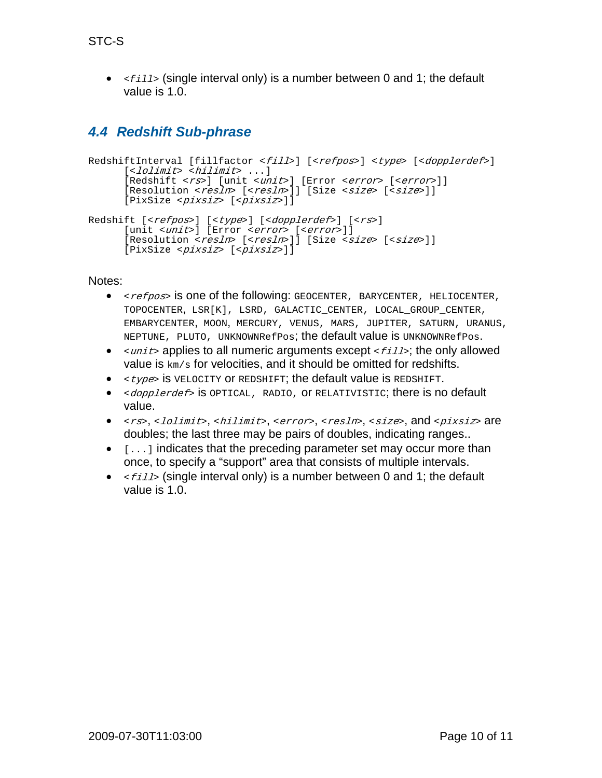• <*fill*> (single interval only) is a number between 0 and 1; the default value is 1.0.

#### <span id="page-9-0"></span>*4.4 Redshift Sub-phrase*

```
RedshiftInterval [fillfactor <fill>] [<refpos>] <type> [<dopplerdef>]
      [<lolimit> <hilimit> \dots ][Redshift <rs>] [unit <unit>] [Error <error> [<error>]]
      [Resolution <resln> [<resln>]] [Size <size> [<size>]]
      [PixSize <pixsiz> [<pixsiz>]]
Redshift [<refpos>] [<type>] [<dopplerdef>] [<rs>]
      [unit <unit>] [Error <error> [<error>]]
      [Resolution <resln> [<resln>]] [Size <size> [<size>]]
      [PixSize <pixsiz> [<pixsiz>]]
```
Notes:

- <*refpos*> is one of the following: GEOCENTER, BARYCENTER, HELIOCENTER, TOPOCENTER, LSR[K], LSRD, GALACTIC\_CENTER, LOCAL\_GROUP\_CENTER, EMBARYCENTER, MOON, MERCURY, VENUS, MARS, JUPITER, SATURN, URANUS, NEPTUNE, PLUTO, UNKNOWNRefPos; the default value is UNKNOWNRefPos.
- $\langle \text{unit}\rangle$  applies to all numeric arguments except  $\langle \text{first}\rangle$ ; the only allowed value is km/s for velocities, and it should be omitted for redshifts.
- $\bullet$   $\lt$   $\times$  type> is VELOCITY OF REDSHIFT; the default value is REDSHIFT.
- <dopplerdef> is OPTICAL, RADIO, OI RELATIVISTIC; there is no default value.
- <rs>, <lolimit>, <hilimit>, <error>, <resln>, <size>, and <pixsiz> are doubles; the last three may be pairs of doubles, indicating ranges..
- $\bullet$  [ $\dots$ ] indicates that the preceding parameter set may occur more than once, to specify a "support" area that consists of multiple intervals.
- $\bullet \quad \leq f \leq 11$  (single interval only) is a number between 0 and 1; the default value is 1.0.